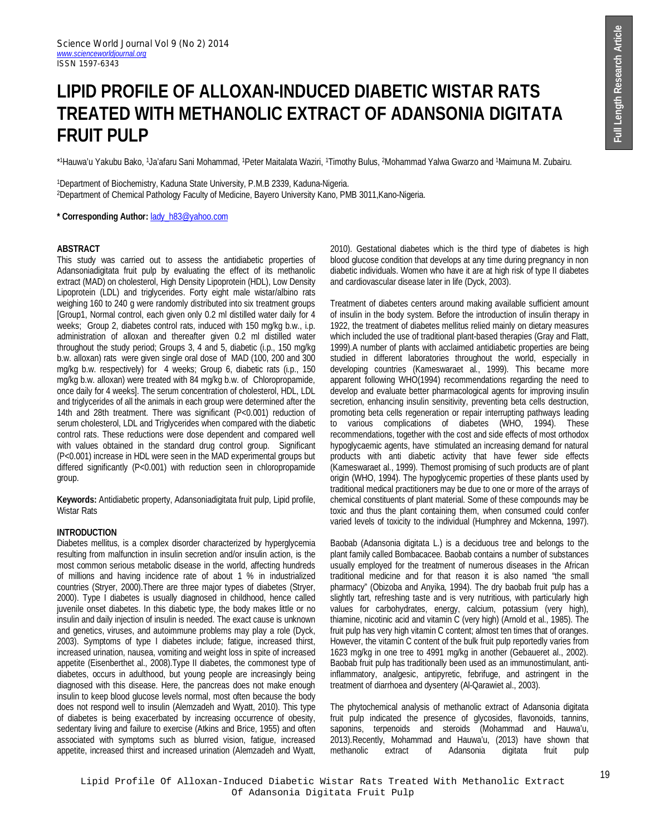# **LIPID PROFILE OF ALLOXAN-INDUCED DIABETIC WISTAR RATS TREATED WITH METHANOLIC EXTRACT OF ADANSONIA DIGITATA FRUIT PULP**

\* <sup>1</sup>Hauwa'u Yakubu Bako, 1Ja'afaru Sani Mohammad, 1Peter Maitalata Waziri, 1Timothy Bulus, 2Mohammad Yalwa Gwarzo and 1Maimuna M. Zubairu.

<sup>1</sup>Department of Biochemistry, Kaduna State University, P.M.B 2339, Kaduna-Nigeria. <sup>2</sup>Department of Chemical Pathology Faculty of Medicine, Bayero University Kano, PMB 3011,Kano-Nigeria.

**\* Corresponding Author:** lady\_h83@yahoo.com

#### **ABSTRACT**

This study was carried out to assess the antidiabetic properties of Adansoniadigitata fruit pulp by evaluating the effect of its methanolic extract (MAD) on cholesterol, High Density Lipoprotein (HDL), Low Density Lipoprotein (LDL) and triglycerides. Forty eight male wistar/albino rats weighing 160 to 240 g were randomly distributed into six treatment groups [Group1, Normal control, each given only 0.2 ml distilled water daily for 4 weeks; Group 2, diabetes control rats, induced with 150 mg/kg b.w., i.p. administration of alloxan and thereafter given 0.2 ml distilled water throughout the study period; Groups 3, 4 and 5, diabetic (i.p., 150 mg/kg b.w. alloxan) rats were given single oral dose of MAD (100, 200 and 300 mg/kg b.w. respectively) for 4 weeks; Group 6, diabetic rats (i.p., 150 mg/kg b.w. alloxan) were treated with 84 mg/kg b.w. of Chloropropamide, once daily for 4 weeks]. The serum concentration of cholesterol, HDL, LDL and triglycerides of all the animals in each group were determined after the 14th and 28th treatment. There was significant (P<0.001) reduction of serum cholesterol, LDL and Triglycerides when compared with the diabetic control rats. These reductions were dose dependent and compared well with values obtained in the standard drug control group. Significant (P<0.001) increase in HDL were seen in the MAD experimental groups but differed significantly (P<0.001) with reduction seen in chloropropamide group.

**Keywords:** Antidiabetic property, Adansoniadigitata fruit pulp, Lipid profile, Wistar Rats

## **INTRODUCTION**

Diabetes mellitus, is a complex disorder characterized by hyperglycemia resulting from malfunction in insulin secretion and/or insulin action, is the most common serious metabolic disease in the world, affecting hundreds of millions and having incidence rate of about 1 % in industrialized countries (Stryer, 2000).There are three major types of diabetes (Stryer, 2000). Type I diabetes is usually diagnosed in childhood, hence called juvenile onset diabetes. In this diabetic type, the body makes little or no insulin and daily injection of insulin is needed. The exact cause is unknown and genetics, viruses, and autoimmune problems may play a role (Dyck, 2003). Symptoms of type I diabetes include; fatigue, increased thirst, increased urination, nausea, vomiting and weight loss in spite of increased appetite (Eisenberthet al., 2008).Type II diabetes, the commonest type of diabetes, occurs in adulthood, but young people are increasingly being diagnosed with this disease. Here, the pancreas does not make enough insulin to keep blood glucose levels normal, most often because the body does not respond well to insulin (Alemzadeh and Wyatt, 2010). This type of diabetes is being exacerbated by increasing occurrence of obesity, sedentary living and failure to exercise (Atkins and Brice, 1955) and often associated with symptoms such as blurred vision, fatigue, increased appetite, increased thirst and increased urination (Alemzadeh and Wyatt, 2010). Gestational diabetes which is the third type of diabetes is high blood glucose condition that develops at any time during pregnancy in non diabetic individuals. Women who have it are at high risk of type II diabetes and cardiovascular disease later in life (Dyck, 2003).

Treatment of diabetes centers around making available sufficient amount of insulin in the body system. Before the introduction of insulin therapy in 1922, the treatment of diabetes mellitus relied mainly on dietary measures which included the use of traditional plant-based therapies (Gray and Flatt, 1999).A number of plants with acclaimed antidiabetic properties are being studied in different laboratories throughout the world, especially in developing countries (Kameswaraet al., 1999). This became more apparent following WHO(1994) recommendations regarding the need to develop and evaluate better pharmacological agents for improving insulin secretion, enhancing insulin sensitivity, preventing beta cells destruction, promoting beta cells regeneration or repair interrupting pathways leading to various complications of diabetes (WHO, 1994). These recommendations, together with the cost and side effects of most orthodox hypoglycaemic agents, have stimulated an increasing demand for natural products with anti diabetic activity that have fewer side effects (Kameswaraet al., 1999). Themost promising of such products are of plant origin (WHO, 1994). The hypoglycemic properties of these plants used by traditional medical practitioners may be due to one or more of the arrays of chemical constituents of plant material. Some of these compounds may be toxic and thus the plant containing them, when consumed could confer varied levels of toxicity to the individual (Humphrey and Mckenna, 1997).

Baobab (Adansonia digitata L.) is a deciduous tree and belongs to the plant family called Bombacacee. Baobab contains a number of substances usually employed for the treatment of numerous diseases in the African traditional medicine and for that reason it is also named "the small pharmacy" (Obizoba and Anyika, 1994). The dry baobab fruit pulp has a slightly tart, refreshing taste and is very nutritious, with particularly high values for carbohydrates, energy, calcium, potassium (very high), thiamine, nicotinic acid and vitamin C (very high) (Arnold et al., 1985). The fruit pulp has very high vitamin C content; almost ten times that of oranges. However, the vitamin C content of the bulk fruit pulp reportedly varies from 1623 mg/kg in one tree to 4991 mg/kg in another (Gebaueret al., 2002). Baobab fruit pulp has traditionally been used as an immunostimulant, antiinflammatory, analgesic, antipyretic, febrifuge, and astringent in the treatment of diarrhoea and dysentery (Al-Qarawiet al., 2003).

The phytochemical analysis of methanolic extract of Adansonia digitata fruit pulp indicated the presence of glycosides, flavonoids, tannins, saponins, terpenoids and steroids (Mohammad and Hauwa'u, 2013).Recently, Mohammad and Hauwa'u, (2013) have shown that extract of Adansonia digitata fruit pulp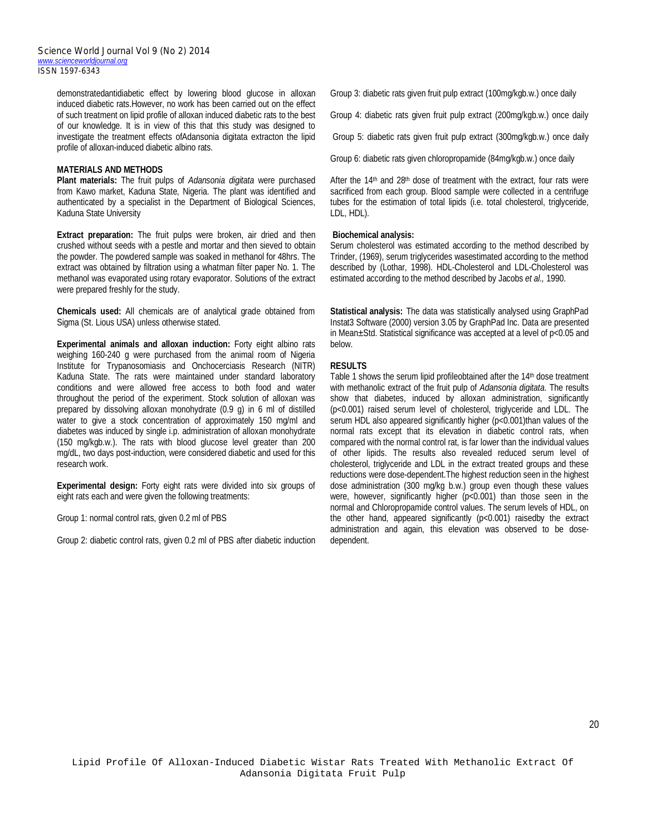demonstratedantidiabetic effect by lowering blood glucose in alloxan induced diabetic rats.However, no work has been carried out on the effect of such treatment on lipid profile of alloxan induced diabetic rats to the best of our knowledge. It is in view of this that this study was designed to investigate the treatment effects ofAdansonia digitata extracton the lipid profile of alloxan-induced diabetic albino rats.

#### **MATERIALS AND METHODS**

**Plant materials:** The fruit pulps of *Adansonia digitata* were purchased from Kawo market, Kaduna State, Nigeria. The plant was identified and authenticated by a specialist in the Department of Biological Sciences, Kaduna State University

**Extract preparation:** The fruit pulps were broken, air dried and then crushed without seeds with a pestle and mortar and then sieved to obtain the powder. The powdered sample was soaked in methanol for 48hrs. The extract was obtained by filtration using a whatman filter paper No. 1. The methanol was evaporated using rotary evaporator. Solutions of the extract were prepared freshly for the study.

**Chemicals used:** All chemicals are of analytical grade obtained from Sigma (St. Lious USA) unless otherwise stated.

**Experimental animals and alloxan induction:** Forty eight albino rats weighing 160-240 g were purchased from the animal room of Nigeria Institute for Trypanosomiasis and Onchocerciasis Research (NITR) Kaduna State. The rats were maintained under standard laboratory conditions and were allowed free access to both food and water throughout the period of the experiment. Stock solution of alloxan was prepared by dissolving alloxan monohydrate (0.9 g) in 6 ml of distilled water to give a stock concentration of approximately 150 mg/ml and diabetes was induced by single i.p. administration of alloxan monohydrate (150 mg/kgb.w.). The rats with blood glucose level greater than 200 mg/dL, two days post-induction, were considered diabetic and used for this research work.

**Experimental design:** Forty eight rats were divided into six groups of eight rats each and were given the following treatments:

Group 1: normal control rats, given 0.2 ml of PBS

Group 2: diabetic control rats, given 0.2 ml of PBS after diabetic induction

Group 3: diabetic rats given fruit pulp extract (100mg/kgb.w.) once daily

Group 4: diabetic rats given fruit pulp extract (200mg/kgb.w.) once daily

Group 5: diabetic rats given fruit pulp extract (300mg/kgb.w.) once daily

Group 6: diabetic rats given chloropropamide (84mg/kgb.w.) once daily

After the  $14<sup>th</sup>$  and  $28<sup>th</sup>$  dose of treatment with the extract, four rats were sacrificed from each group. Blood sample were collected in a centrifuge tubes for the estimation of total lipids (i.e. total cholesterol, triglyceride, LDL, HDL).

### **Biochemical analysis:**

Serum cholesterol was estimated according to the method described by Trinder, (1969), serum triglycerides wasestimated according to the method described by (Lothar, 1998). HDL-Cholesterol and LDL-Cholesterol was estimated according to the method described by Jacobs *et al.,* 1990.

**Statistical analysis:** The data was statistically analysed using GraphPad Instat3 Software (2000) version 3.05 by GraphPad Inc. Data are presented in Mean±Std. Statistical significance was accepted at a level of p<0.05 and below.

#### **RESULTS**

Table 1 shows the serum lipid profileobtained after the 14th dose treatment with methanolic extract of the fruit pulp of *Adansonia digitata*. The results show that diabetes, induced by alloxan administration, significantly (p<0.001) raised serum level of cholesterol, triglyceride and LDL. The serum HDL also appeared significantly higher (p<0.001)than values of the normal rats except that its elevation in diabetic control rats, when compared with the normal control rat, is far lower than the individual values of other lipids. The results also revealed reduced serum level of cholesterol, triglyceride and LDL in the extract treated groups and these reductions were dose-dependent.The highest reduction seen in the highest dose administration (300 mg/kg b.w.) group even though these values were, however, significantly higher (p<0.001) than those seen in the normal and Chloropropamide control values. The serum levels of HDL, on the other hand, appeared significantly (p<0.001) raisedby the extract administration and again, this elevation was observed to be dosedependent.

Lipid Profile Of Alloxan-Induced Diabetic Wistar Rats Treated With Methanolic Extract Of Adansonia Digitata Fruit Pulp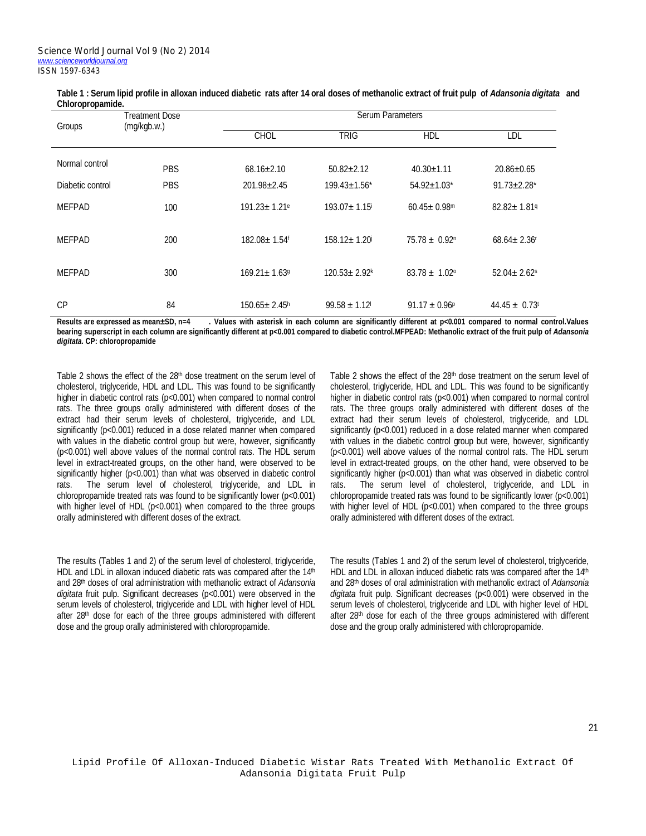| VIIIVI UPI UPAHING. |                                      |                                |                                |                               |                               |  |  |
|---------------------|--------------------------------------|--------------------------------|--------------------------------|-------------------------------|-------------------------------|--|--|
| Groups              | <b>Treatment Dose</b><br>(mg/kgb.w.) | <b>Serum Parameters</b>        |                                |                               |                               |  |  |
|                     |                                      | <b>CHOL</b>                    | <b>TRIG</b>                    | <b>HDL</b>                    | LDL                           |  |  |
| Normal control      | <b>PBS</b>                           | $68.16 \pm 2.10$               | $50.82 \pm 2.12$               | $40.30 \pm 1.11$              | $20.86 \pm 0.65$              |  |  |
|                     |                                      |                                |                                |                               |                               |  |  |
| Diabetic control    | <b>PBS</b>                           | $201.98 \pm 2.45$              | $199.43 \pm 1.56$ *            | $54.92 \pm 1.03$ *            | $91.73 \pm 2.28$ *            |  |  |
| <b>MEFPAD</b>       | 100                                  | $191.23 \pm 1.21$ <sup>e</sup> | $193.07 \pm 1.15$ <sup>i</sup> | $60.45 \pm 0.98$ <sup>m</sup> | $82.82 \pm 1.81$ <sup>q</sup> |  |  |
| <b>MEFPAD</b>       | 200                                  | 182.08± 1.54f                  | 158.12± 1.20                   | $75.78 \pm 0.92$ <sup>n</sup> | $68.64 \pm 2.36$ <sup>r</sup> |  |  |
| <b>MEFPAD</b>       | 300                                  | $169.21 \pm 1.639$             | $120.53 \pm 2.92$ <sup>k</sup> | $83.78 \pm 1.02^{\circ}$      | $52.04 \pm 2.62$ s            |  |  |
| CP                  | 84                                   | $150.65 \pm 2.45$ <sup>h</sup> | $99.58 \pm 1.12$ <sup>1</sup>  | $91.17 \pm 0.96^{\circ}$      | $44.45 \pm 0.73$ <sup>t</sup> |  |  |

| Table 1 : Serum lipid profile in alloxan induced diabetic rats after 14 oral doses of methanolic extract of fruit pulp of Adansonia digitata and |  |
|--------------------------------------------------------------------------------------------------------------------------------------------------|--|
| Chloropropamide.                                                                                                                                 |  |

**Results are expressed as mean±SD, n=4 . Values with asterisk in each column are significantly different at p<0.001 compared to normal control.Values bearing superscript in each column are significantly different at p<0.001 compared to diabetic control.MFPEAD: Methanolic extract of the fruit pulp of** *Adansonia digitata.* **CP: chloropropamide**

Table 2 shows the effect of the 28th dose treatment on the serum level of cholesterol, triglyceride, HDL and LDL. This was found to be significantly higher in diabetic control rats (p<0.001) when compared to normal control rats. The three groups orally administered with different doses of the extract had their serum levels of cholesterol, triglyceride, and LDL significantly (p<0.001) reduced in a dose related manner when compared with values in the diabetic control group but were, however, significantly (p<0.001) well above values of the normal control rats. The HDL serum level in extract-treated groups, on the other hand, were observed to be significantly higher (p<0.001) than what was observed in diabetic control rats. The serum level of cholesterol, triglyceride, and LDL in chloropropamide treated rats was found to be significantly lower ( $p$ <0.001) with higher level of HDL (p<0.001) when compared to the three groups orally administered with different doses of the extract.

The results (Tables 1 and 2) of the serum level of cholesterol, triglyceride, HDL and LDL in alloxan induced diabetic rats was compared after the 14<sup>th</sup> and 28th doses of oral administration with methanolic extract of *Adansonia digitata* fruit pulp. Significant decreases (p<0.001) were observed in the serum levels of cholesterol, triglyceride and LDL with higher level of HDL after 28<sup>th</sup> dose for each of the three groups administered with different dose and the group orally administered with chloropropamide.

Table 2 shows the effect of the 28<sup>th</sup> dose treatment on the serum level of cholesterol, triglyceride, HDL and LDL. This was found to be significantly higher in diabetic control rats (p<0.001) when compared to normal control rats. The three groups orally administered with different doses of the extract had their serum levels of cholesterol, triglyceride, and LDL significantly (p<0.001) reduced in a dose related manner when compared with values in the diabetic control group but were, however, significantly (p<0.001) well above values of the normal control rats. The HDL serum level in extract-treated groups, on the other hand, were observed to be significantly higher (p<0.001) than what was observed in diabetic control rats. The serum level of cholesterol, triglyceride, and LDL in chloropropamide treated rats was found to be significantly lower ( $p < 0.001$ ) with higher level of HDL (p<0.001) when compared to the three groups orally administered with different doses of the extract.

The results (Tables 1 and 2) of the serum level of cholesterol, triglyceride, HDL and LDL in alloxan induced diabetic rats was compared after the 14th and 28th doses of oral administration with methanolic extract of *Adansonia digitata* fruit pulp. Significant decreases (p<0.001) were observed in the serum levels of cholesterol, triglyceride and LDL with higher level of HDL after 28<sup>th</sup> dose for each of the three groups administered with different dose and the group orally administered with chloropropamide.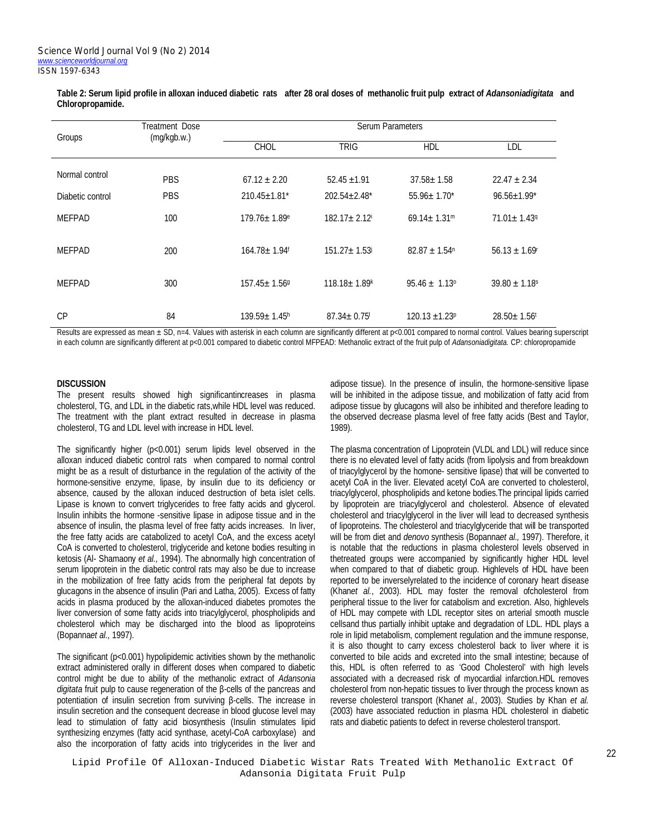| Table 2: Serum lipid profile in alloxan induced diabetic rats after 28 oral doses of methanolic fruit pulp extract of Adansoniadigitata and |  |  |
|---------------------------------------------------------------------------------------------------------------------------------------------|--|--|
| Chloropropamide.                                                                                                                            |  |  |

| Groups           | Treatment Dose<br>(mg/kgb.w.) | Serum Parameters               |                                |                                |                               |  |
|------------------|-------------------------------|--------------------------------|--------------------------------|--------------------------------|-------------------------------|--|
|                  |                               | <b>CHOL</b>                    | <b>TRIG</b>                    | <b>HDL</b>                     | LDL                           |  |
| Normal control   | <b>PBS</b>                    | $67.12 \pm 2.20$               | $52.45 \pm 1.91$               | $37.58 \pm 1.58$               | $22.47 \pm 2.34$              |  |
| Diabetic control | <b>PBS</b>                    | $210.45 \pm 1.81$ <sup>*</sup> | $202.54 \pm 2.48^*$            | $55.96 \pm 1.70^*$             | $96.56 \pm 1.99$ <sup>*</sup> |  |
| <b>MEFPAD</b>    | 100                           | $179.76 \pm 1.89$ <sup>e</sup> | $182.17 \pm 2.12$              | $69.14 \pm 1.31$ <sup>m</sup>  | $71.01 \pm 1.439$             |  |
| <b>MEFPAD</b>    | 200                           | $164.78 \pm 1.94$ <sup>f</sup> | $151.27 \pm 1.53$              | $82.87 \pm 1.54$ <sup>n</sup>  | $56.13 \pm 1.69$ <sup>r</sup> |  |
| <b>MEFPAD</b>    | 300                           | $157.45 \pm 1.569$             | $118.18 \pm 1.89$ <sup>k</sup> | $95.46 \pm 1.13$ °             | $39.80 \pm 1.18$ s            |  |
| <b>CP</b>        | 84                            | $139.59 \pm 1.45$ <sup>h</sup> | $87.34 \pm 0.75$               | $120.13 \pm 1.23$ <sup>p</sup> | $28.50 \pm 1.56$ <sup>t</sup> |  |

Results are expressed as mean ± SD, n=4. Values with asterisk in each column are significantly different at p<0.001 compared to normal control. Values bearing superscript in each column are significantly different at p<0.001 compared to diabetic control MFPEAD: Methanolic extract of the fruit pulp of *Adansoniadigitata.* CP: chloropropamide

#### **DISCUSSION**

The present results showed high significantincreases in plasma cholesterol, TG, and LDL in the diabetic rats,while HDL level was reduced. The treatment with the plant extract resulted in decrease in plasma cholesterol, TG and LDL level with increase in HDL level.

The significantly higher (p<0.001) serum lipids level observed in the alloxan induced diabetic control rats when compared to normal control might be as a result of disturbance in the regulation of the activity of the hormone-sensitive enzyme, lipase, by insulin due to its deficiency or absence, caused by the alloxan induced destruction of beta islet cells. Lipase is known to convert triglycerides to free fatty acids and glycerol. Insulin inhibits the hormone -sensitive lipase in adipose tissue and in the absence of insulin, the plasma level of free fatty acids increases. In liver, the free fatty acids are catabolized to acetyl CoA, and the excess acetyl CoA is converted to cholesterol, triglyceride and ketone bodies resulting in ketosis (Al- Shamaony *et al.,* 1994). The abnormally high concentration of serum lipoprotein in the diabetic control rats may also be due to increase in the mobilization of free fatty acids from the peripheral fat depots by glucagons in the absence of insulin (Pari and Latha, 2005). Excess of fatty acids in plasma produced by the alloxan-induced diabetes promotes the liver conversion of some fatty acids into triacylglycerol, phospholipids and cholesterol which may be discharged into the blood as lipoproteins (Bopanna*et al.,* 1997).

The significant (p<0.001) hypolipidemic activities shown by the methanolic extract administered orally in different doses when compared to diabetic control might be due to ability of the methanolic extract of *Adansonia digitata* fruit pulp to cause regeneration of the β-cells of the pancreas and potentiation of insulin secretion from surviving β-cells. The increase in insulin secretion and the consequent decrease in blood glucose level may lead to stimulation of fatty acid biosynthesis (Insulin stimulates lipid synthesizing enzymes (fatty acid synthase, acetyl-CoA carboxylase) and also the incorporation of fatty acids into triglycerides in the liver and adipose tissue). In the presence of insulin, the hormone-sensitive lipase will be inhibited in the adipose tissue, and mobilization of fatty acid from adipose tissue by glucagons will also be inhibited and therefore leading to the observed decrease plasma level of free fatty acids (Best and Taylor, 1989).

The plasma concentration of Lipoprotein (VLDL and LDL) will reduce since there is no elevated level of fatty acids (from lipolysis and from breakdown of triacylglycerol by the homone- sensitive lipase) that will be converted to acetyl CoA in the liver. Elevated acetyl CoA are converted to cholesterol, triacylglycerol, phospholipids and ketone bodies.The principal lipids carried by lipoprotein are triacylglycerol and cholesterol. Absence of elevated cholesterol and triacylglycerol in the liver will lead to decreased synthesis of lipoproteins. The cholesterol and triacylglyceride that will be transported will be from diet and *denovo* synthesis (Bopanna*et al.,* 1997). Therefore, it is notable that the reductions in plasma cholesterol levels observed in thetreated groups were accompanied by significantly higher HDL level when compared to that of diabetic group. Highlevels of HDL have been reported to be inverselyrelated to the incidence of coronary heart disease (Khan*et al.*, 2003). HDL may foster the removal ofcholesterol from peripheral tissue to the liver for catabolism and excretion. Also, highlevels of HDL may compete with LDL receptor sites on arterial smooth muscle cellsand thus partially inhibit uptake and degradation of LDL. HDL plays a role in lipid metabolism, complement regulation and the immune response, it is also thought to carry excess cholesterol back to liver where it is converted to bile acids and excreted into the small intestine; because of this, HDL is often referred to as 'Good Cholesterol' with high levels associated with a decreased risk of myocardial infarction.HDL removes cholesterol from non-hepatic tissues to liver through the process known as reverse cholesterol transport (Khan*et al.*, 2003). Studies by Khan *et al.* (2003) have associated reduction in plasma HDL cholesterol in diabetic rats and diabetic patients to defect in reverse cholesterol transport.

Lipid Profile Of Alloxan-Induced Diabetic Wistar Rats Treated With Methanolic Extract Of Adansonia Digitata Fruit Pulp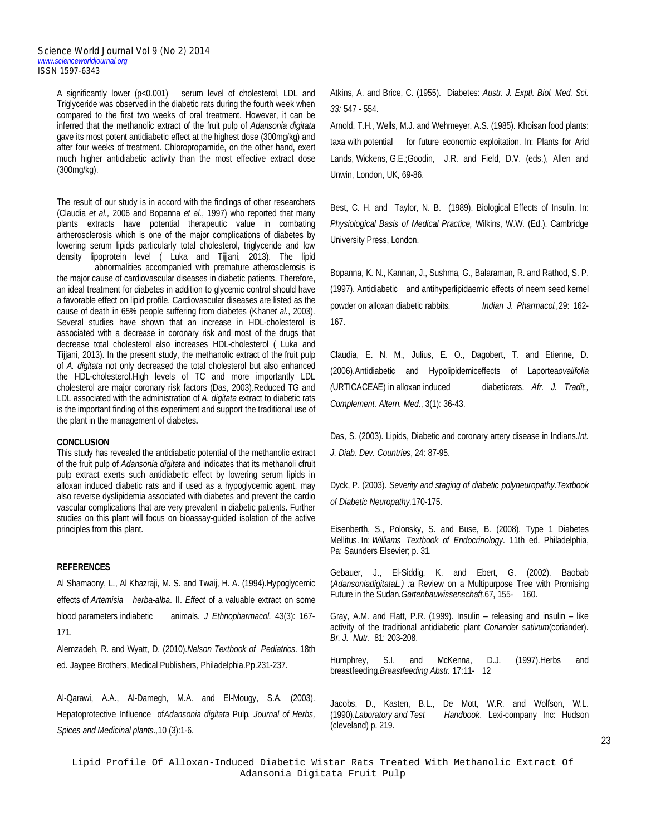A significantly lower (p<0.001) serum level of cholesterol, LDL and Triglyceride was observed in the diabetic rats during the fourth week when compared to the first two weeks of oral treatment. However, it can be inferred that the methanolic extract of the fruit pulp of *Adansonia digitata* gave its most potent antidiabetic effect at the highest dose (300mg/kg) and after four weeks of treatment. Chloropropamide, on the other hand, exert much higher antidiabetic activity than the most effective extract dose (300mg/kg).

The result of our study is in accord with the findings of other researchers (Claudia *et al.,* 2006 and Bopanna *et al*., 1997) who reported that many plants extracts have potential therapeutic value in combating artherosclerosis which is one of the major complications of diabetes by lowering serum lipids particularly total cholesterol, triglyceride and low density lipoprotein level ( Luka and Tijjani, 2013). The lipid

abnormalities accompanied with premature atherosclerosis is the major cause of cardiovascular diseases in diabetic patients. Therefore, an ideal treatment for diabetes in addition to glycemic control should have a favorable effect on lipid profile. Cardiovascular diseases are listed as the cause of death in 65% people suffering from diabetes (Khan*et al.*, 2003). Several studies have shown that an increase in HDL-cholesterol is associated with a decrease in coronary risk and most of the drugs that decrease total cholesterol also increases HDL-cholesterol ( Luka and Tijjani, 2013). In the present study, the methanolic extract of the fruit pulp of *A. digitata* not only decreased the total cholesterol but also enhanced the HDL-cholesterol.High levels of TC and more importantly LDL cholesterol are major coronary risk factors (Das, 2003).Reduced TG and LDL associated with the administration of *A. digitata* extract to diabetic rats is the important finding of this experiment and support the traditional use of the plant in the management of diabetes**.**

#### **CONCLUSION**

This study has revealed the antidiabetic potential of the methanolic extract of the fruit pulp of *Adansonia digitata* and indicates that its methanoli cfruit pulp extract exerts such antidiabetic effect by lowering serum lipids in alloxan induced diabetic rats and if used as a hypoglycemic agent, may also reverse dyslipidemia associated with diabetes and prevent the cardio vascular complications that are very prevalent in diabetic patients**.** Further studies on this plant will focus on bioassay-guided isolation of the active principles from this plant.

#### **REFERENCES**

Al Shamaony, L., Al Khazraji, M. S. and Twaij, H. A. (1994).Hypoglycemic effects of *Artemisia herba-alba*. II. *Effect* of a valuable extract on some blood parameters indiabetic animals. *J Ethnopharmacol*. 43(3): 167- 171.

Alemzadeh, R. and Wyatt, D. (2010).*Nelson Textbook of Pediatrics*. 18th ed. Jaypee Brothers, Medical Publishers, Philadelphia.Pp.231-237.

Al-Qarawi, A.A., Al-Damegh, M.A. and El-Mougy, S.A. (2003). Hepatoprotective Influence of*Adansonia digitata* Pulp. *Journal of Herbs, Spices and Medicinal plants.,*10 (3):1-6.

Atkins, A. and Brice, C. (1955). Diabetes: *Austr. J. Exptl. Biol. Med. Sci. 33:* 547 - 554.

Arnold, T.H., Wells, M.J. and Wehmeyer, A.S. (1985). Khoisan food plants: taxa with potential for future economic exploitation. In: Plants for Arid Lands, Wickens, G.E.;Goodin, J.R. and Field, D.V. (eds.), Allen and Unwin, London, UK, 69-86.

Best, C. H. and Taylor, N. B. (1989). Biological Effects of Insulin. In: *Physiological Basis of Medical Practice,* Wilkins, W.W. (Ed.). Cambridge University Press, London.

Bopanna, K. N., Kannan, J., Sushma, G., Balaraman, R. and Rathod, S. P. (1997). Antidiabetic and antihyperlipidaemic effects of neem seed kernel powder on alloxan diabetic rabbits. *Indian J. Pharmacol.,*29: 162- 167.

Claudia, E. N. M., Julius, E. O., Dagobert, T. and Etienne, D. (2006).Antidiabetic and Hypolipidemiceffects of Laportea*ovalifolia (*URTICACEAE) in alloxan induced diabeticrats. *Afr. J. Tradit., Complement. Altern. Med*., 3(1): 36-43.

Das, S. (2003). Lipids, Diabetic and coronary artery disease in Indians.*Int. J. Diab. Dev. Countries*, 24: 87-95.

Dyck, P. (2003). *Severity and staging of diabetic polyneuropathy*.*Textbook of Diabetic Neuropathy.*170-175.

Eisenberth, S., Polonsky, S. and Buse, B. (2008). Type 1 Diabetes Mellitus. In: *Williams Textbook of Endocrinology*. 11th ed. Philadelphia, Pa: Saunders Elsevier; p. 31.

Gebauer, J., El-Siddig, K. and Ebert, G. (2002). Baobab (*AdansoniadigitataL.) :*a Review on a Multipurpose Tree with Promising Future in the Sudan*.Gartenbauwissenschaft.*67, 155- 160.

Gray, A.M. and Flatt, P.R. (1999). Insulin – releasing and insulin – like activity of the traditional antidiabetic plant *Coriander sativum*(coriander). *Br. J. Nutr*. 81: 203-208.

Humphrey, S.I. and McKenna, D.J. (1997).Herbs and breastfeeding.*Breastfeeding Abstr.* 17:11- 12

Jacobs, D., Kasten, B.L., De Mott, W.R. and Wolfson, W.L. (1990).*Laboratory and Test Handbook*. Lexi-company Inc: Hudson (cleveland) p. 219.

23

Lipid Profile Of Alloxan-Induced Diabetic Wistar Rats Treated With Methanolic Extract Of Adansonia Digitata Fruit Pulp